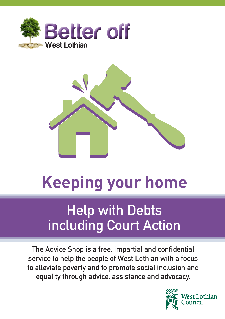



# **Keeping your home**

## **Help with Debts including Court Action**

**The Advice Shop is a free, impartial and confidential service to help the people of West Lothian with a focus to alleviate poverty and to promote social inclusion and equality through advice, assistance and advocacy.**

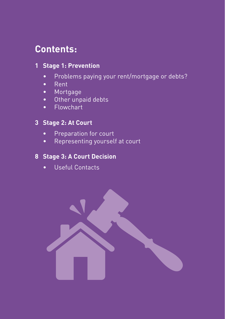## **Contents:**

#### **1 Stage 1: Prevention**

- Problems paying your rent/mortgage or debts?
- Rent
- Mortgage
- Other unpaid debts
- Flowchart

#### **3 Stage 2: At Court**

- **•** Preparation for court
- Representing yourself at court

#### **8 Stage 3: A Court Decision**

• Useful Contacts

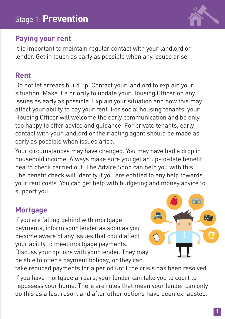

## **Paying your rent**

It is important to maintain regular contact with your landlord or lender. Get in touch as early as possible when any issues arise.

## **Rent**

Do not let arrears build up. Contact your landlord to explain your situation. Make it a priority to update your Housing Officer on any issues as early as possible. Explain your situation and how this may affect your ability to pay your rent. For social housing tenants, your Housing Officer will welcome the early communication and be only too happy to offer advice and guidance. For private tenants, early contact with your landlord or their acting agent should be made as early as possible when issues arise.

Your circumstances may have changed. You may have had a drop in household income. Always make sure you get an up-to-date benefit health check carried out. The Advice Shop can help you with this. The benefit check will identify if you are entitled to any help towards your rent costs. You can get help with budgeting and money advice to support you.

## **Mortgage**

If you are falling behind with mortgage payments, inform your lender as soon as you become aware of any issues that could affect your ability to meet mortgage payments. Discuss your options with your lender. They may be able to offer a payment holiday, or they can



take reduced payments for a period until the crisis has been resolved.

If you have mortgage arrears, your lender can take you to court to repossess your home. There are rules that mean your lender can only do this as a last resort and after other options have been exhausted.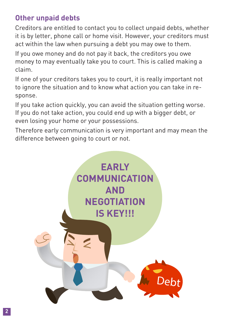## **Other unpaid debts**

Creditors are entitled to contact you to collect unpaid debts, whether it is by letter, phone call or home visit. However, your creditors must act within the law when pursuing a debt you may owe to them.

If you owe money and do not pay it back, the creditors you owe money to may eventually take you to court. This is called making a claim.

If one of your creditors takes you to court, it is really important not to ignore the situation and to know what action you can take in response.

If you take action quickly, you can avoid the situation getting worse. If you do not take action, you could end up with a bigger debt, or even losing your home or your possessions.

Therefore early communication is very important and may mean the difference between going to court or not.

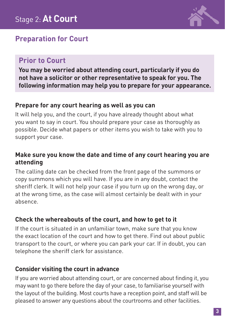## **Preparation for Court**

## **Prior to Court**

**You may be worried about attending court, particularly if you do not have a solicitor or other representative to speak for you. The following information may help you to prepare for your appearance.**

#### **Prepare for any court hearing as well as you can**

It will help you, and the court, if you have already thought about what you want to say in court. You should prepare your case as thoroughly as possible. Decide what papers or other items you wish to take with you to support your case.

#### **Make sure you know the date and time of any court hearing you are attending**

The calling date can be checked from the front page of the summons or copy summons which you will have. If you are in any doubt, contact the sheriff clerk. It will not help your case if you turn up on the wrong day, or at the wrong time, as the case will almost certainly be dealt with in your absence.

#### **Check the whereabouts of the court, and how to get to it**

If the court is situated in an unfamiliar town, make sure that you know the exact location of the court and how to get there. Find out about public transport to the court, or where you can park your car. If in doubt, you can telephone the sheriff clerk for assistance.

#### **Consider visiting the court in advance**

If you are worried about attending court, or are concerned about finding it, you may want to go there before the day of your case, to familiarise yourself with the layout of the building. Most courts have a reception point, and staff will be pleased to answer any questions about the courtrooms and other facilities.

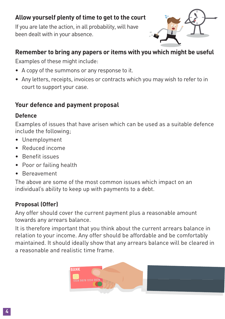#### **Allow yourself plenty of time to get to the court**

If you are late the action, in all probability, will have been dealt with in your absence.



#### **Remember to bring any papers or items with you which might be useful**

Examples of these might include:

- A copy of the summons or any response to it.
- Any letters, receipts, invoices or contracts which you may wish to refer to in court to support your case.

#### **Your defence and payment proposal**

#### **Defence**

Examples of issues that have arisen which can be used as a suitable defence include the following;

- Unemployment
- Reduced income
- Benefit issues
- Poor or failing health
- Bereavement

The above are some of the most common issues which impact on an individual's ability to keep up with payments to a debt.

#### **Proposal (Offer)**

Any offer should cover the current payment plus a reasonable amount towards any arrears balance.

It is therefore important that you think about the current arrears balance in relation to your income. Any offer should be affordable and be comfortably maintained. It should ideally show that any arrears balance will be cleared in a reasonable and realistic time frame.

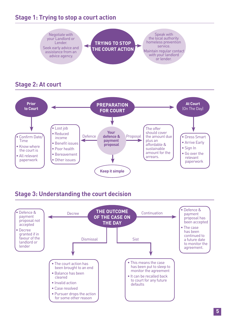#### **Stage 1: Trying to stop a court action**



#### **Stage 3: Understanding the court decision**

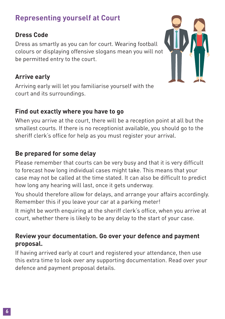## **Representing yourself at Court**

#### **Dress Code**

Dress as smartly as you can for court. Wearing football colours or displaying offensive slogans mean you will not be permitted entry to the court.

#### **Arrive early**

Arriving early will let you familiarise yourself with the court and its surroundings.

#### **Find out exactly where you have to go**

When you arrive at the court, there will be a reception point at all but the smallest courts. If there is no receptionist available, you should go to the sheriff clerk's office for help as you must register your arrival.

### **Be prepared for some delay**

Please remember that courts can be very busy and that it is very difficult to forecast how long individual cases might take. This means that your case may not be called at the time stated. It can also be difficult to predict how long any hearing will last, once it gets underway.

You should therefore allow for delays, and arrange your affairs accordingly. Remember this if you leave your car at a parking meter!

It might be worth enquiring at the sheriff clerk's office, when you arrive at court, whether there is likely to be any delay to the start of your case.

#### **Review your documentation. Go over your defence and payment proposal.**

If having arrived early at court and registered your attendance, then use this extra time to look over any supporting documentation. Read over your defence and payment proposal details.

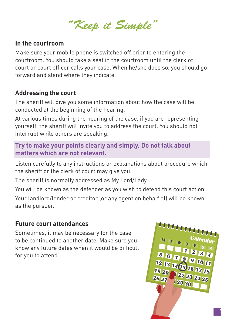*"Keep it Simple"*

#### **In the courtroom**

Make sure your mobile phone is switched off prior to entering the courtroom. You should take a seat in the courtroom until the clerk of court or court officer calls your case. When he/she does so, you should go forward and stand where they indicate.

#### **Addressing the court**

The sheriff will give you some information about how the case will be conducted at the beginning of the hearing.

At various times during the hearing of the case, if you are representing yourself, the sheriff will invite you to address the court. You should not interrupt while others are speaking.

#### **Try to make your points clearly and simply. Do not talk about matters which are not relevant.**

Listen carefully to any instructions or explanations about procedure which the sheriff or the clerk of court may give you.

The sheriff is normally addressed as My Lord/Lady.

You will be known as the defender as you wish to defend this court action.

Your landlord/lender or creditor (or any agent on behalf of) will be known as the pursuer.

#### **Future court attendances**

Sometimes, it may be necessary for the case to be continued to another date. Make sure you know any future dates when it would be difficult for you to attend.



**7**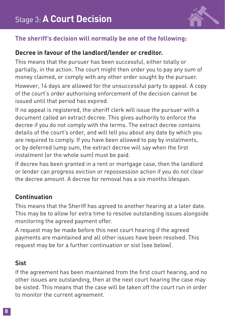

#### **The sheriff's decision will normally be one of the following:**

#### **Decree in favour of the landlord/lender or creditor.**

This means that the pursuer has been successful, either totally or partially, in the action. The court might then order you to pay any sum of money claimed, or comply with any other order sought by the pursuer. However, 14 days are allowed for the unsuccessful party to appeal. A copy of the court's order authorising enforcement of the decision cannot be issued until that period has expired.

If no appeal is registered, the sheriff clerk will issue the pursuer with a document called an extract decree. This gives authority to enforce the decree if you do not comply with the terms. The extract decree contains details of the court's order, and will tell you about any date by which you are required to comply. If you have been allowed to pay by instalments, or by deferred lump sum, the extract decree will say when the first instalment (or the whole sum) must be paid.

If decree has been granted in a rent or mortgage case, then the landlord or lender can progress eviction or repossession action if you do not clear the decree amount. A decree for removal has a six months lifespan.

#### **Continuation**

This means that the Sheriff has agreed to another hearing at a later date. This may be to allow for extra time to resolve outstanding issues alongside monitoring the agreed payment offer.

A request may be made before this next court hearing if the agreed payments are maintained and all other issues have been resolved. This request may be for a further continuation or sist (see below).

#### **Sist**

If the agreement has been maintained from the first court hearing, and no other issues are outstanding, then at the next court hearing the case may be sisted. This means that the case will be taken off the court run in order to monitor the current agreement.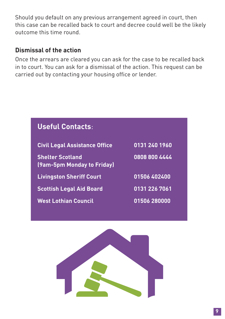Should you default on any previous arrangement agreed in court, then this case can be recalled back to court and decree could well be the likely outcome this time round.

#### **Dismissal of the action**

Once the arrears are cleared you can ask for the case to be recalled back in to court. You can ask for a dismissal of the action. This request can be carried out by contacting your housing office or lender.

| <b>Useful Contacts:</b>                               |               |
|-------------------------------------------------------|---------------|
| <b>Civil Legal Assistance Office</b>                  | 0131 240 1960 |
| <b>Shelter Scotland</b><br>(9am-5pm Monday to Friday) | 0808 800 4444 |
| <b>Livingston Sheriff Court</b>                       | 01506 402400  |
| <b>Scottish Legal Aid Board</b>                       | 0131 226 7061 |
| <b>West Lothian Council</b>                           | 01506 280000  |